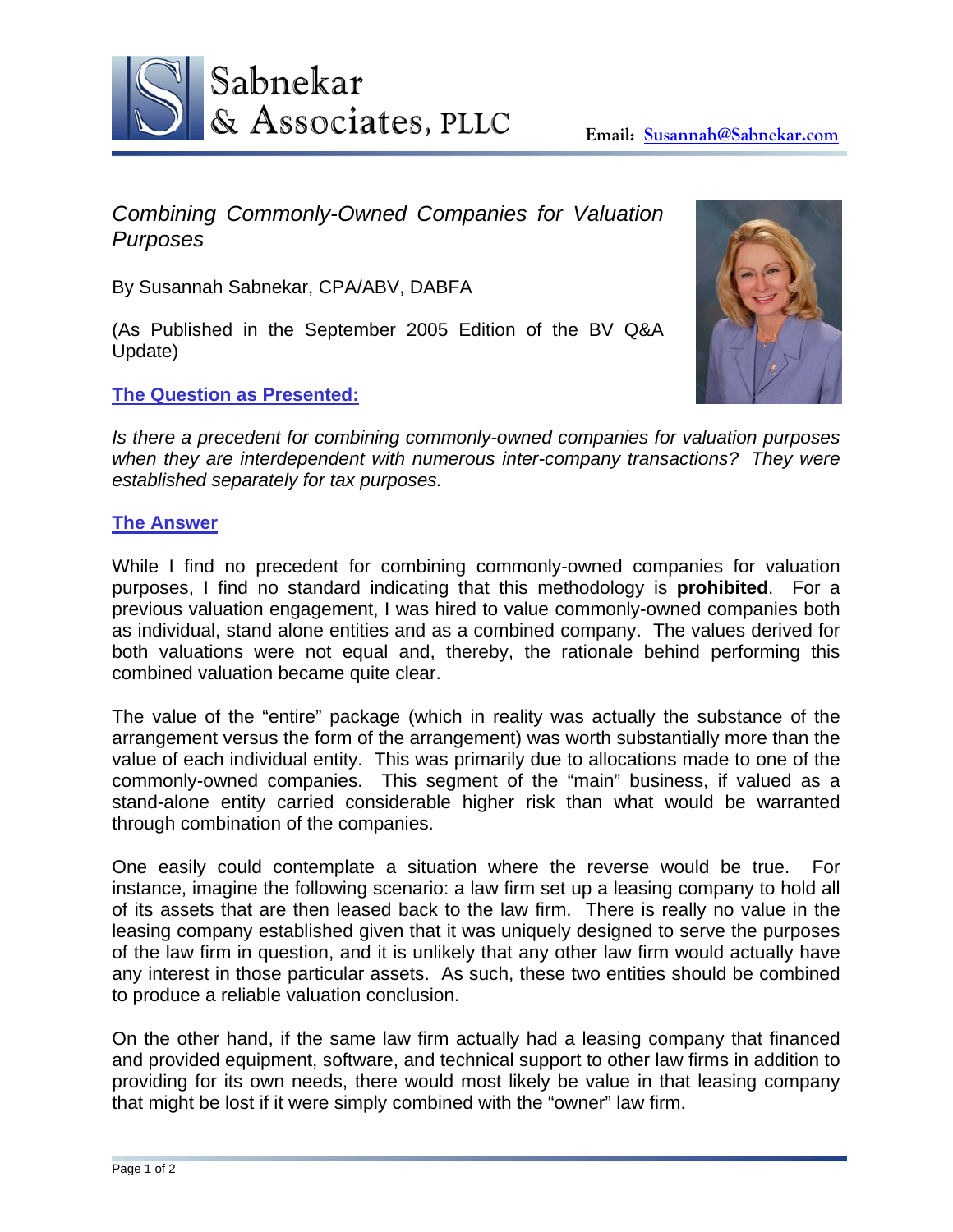

*Combining Commonly-Owned Companies for Valuation Purposes* 

By Susannah Sabnekar, CPA/ABV, DABFA

(As Published in the September 2005 Edition of the BV Q&A Update)

## **The Question as Presented:**



*Is there a precedent for combining commonly-owned companies for valuation purposes when they are interdependent with numerous inter-company transactions? They were established separately for tax purposes.* 

## **The Answer**

While I find no precedent for combining commonly-owned companies for valuation purposes, I find no standard indicating that this methodology is **prohibited**. For a previous valuation engagement, I was hired to value commonly-owned companies both as individual, stand alone entities and as a combined company. The values derived for both valuations were not equal and, thereby, the rationale behind performing this combined valuation became quite clear.

The value of the "entire" package (which in reality was actually the substance of the arrangement versus the form of the arrangement) was worth substantially more than the value of each individual entity. This was primarily due to allocations made to one of the commonly-owned companies. This segment of the "main" business, if valued as a stand-alone entity carried considerable higher risk than what would be warranted through combination of the companies.

One easily could contemplate a situation where the reverse would be true. For instance, imagine the following scenario: a law firm set up a leasing company to hold all of its assets that are then leased back to the law firm. There is really no value in the leasing company established given that it was uniquely designed to serve the purposes of the law firm in question, and it is unlikely that any other law firm would actually have any interest in those particular assets. As such, these two entities should be combined to produce a reliable valuation conclusion.

On the other hand, if the same law firm actually had a leasing company that financed and provided equipment, software, and technical support to other law firms in addition to providing for its own needs, there would most likely be value in that leasing company that might be lost if it were simply combined with the "owner" law firm.